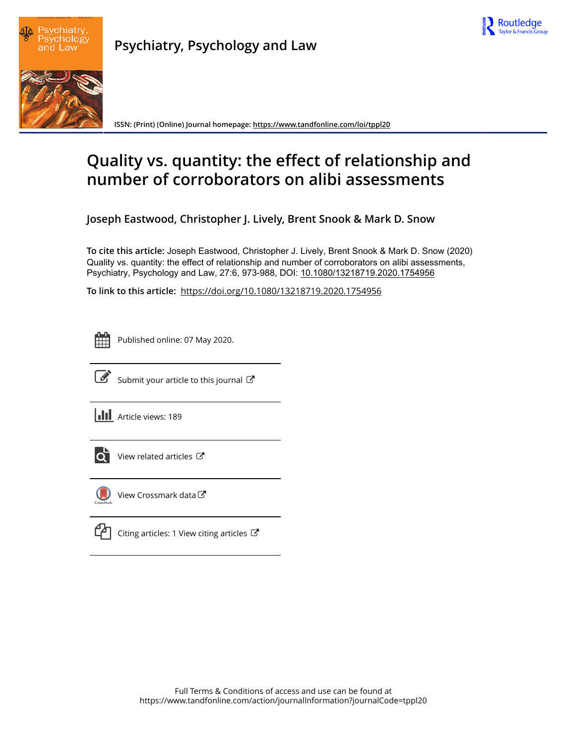



**Psychiatry, Psychology and Law**

**ISSN: (Print) (Online) Journal homepage:<https://www.tandfonline.com/loi/tppl20>**

# **Quality vs. quantity: the effect of relationship and number of corroborators on alibi assessments**

**Joseph Eastwood, Christopher J. Lively, Brent Snook & Mark D. Snow**

**To cite this article:** Joseph Eastwood, Christopher J. Lively, Brent Snook & Mark D. Snow (2020) Quality vs. quantity: the effect of relationship and number of corroborators on alibi assessments, Psychiatry, Psychology and Law, 27:6, 973-988, DOI: [10.1080/13218719.2020.1754956](https://www.tandfonline.com/action/showCitFormats?doi=10.1080/13218719.2020.1754956)

**To link to this article:** <https://doi.org/10.1080/13218719.2020.1754956>

ËË

Published online: 07 May 2020.



 $\overrightarrow{S}$  [Submit your article to this journal](https://www.tandfonline.com/action/authorSubmission?journalCode=tppl20&show=instructions)  $\overrightarrow{S}$ 

**III** Article views: 189



 $\overline{\mathbf{C}}$  [View related articles](https://www.tandfonline.com/doi/mlt/10.1080/13218719.2020.1754956)  $\mathbf{C}$ 



[View Crossmark data](http://crossmark.crossref.org/dialog/?doi=10.1080/13218719.2020.1754956&domain=pdf&date_stamp=2020-05-07) $\mathbb{Z}$ 

[Citing articles: 1 View citing articles](https://www.tandfonline.com/doi/citedby/10.1080/13218719.2020.1754956#tabModule)  $\mathbb{Z}$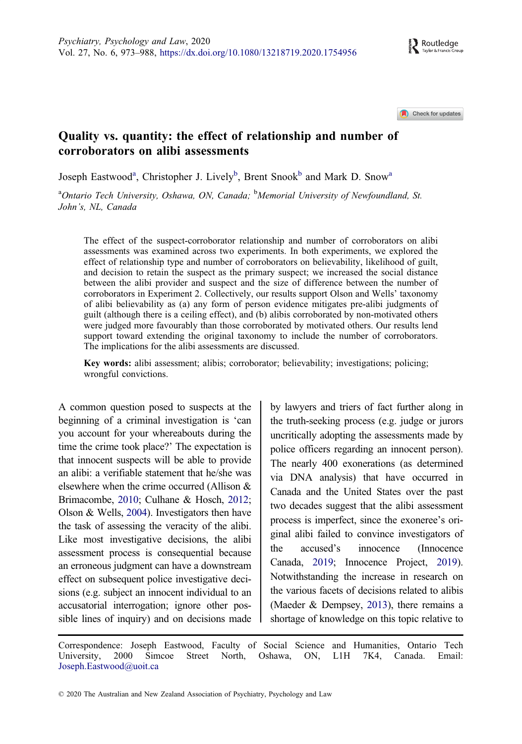Check for updates

# <span id="page-1-0"></span>Quality vs. quantity: the effect of relationship and number of corroborators on alibi assessments

Joseph Eastwood<sup>a</sup>, Christopher J. Lively<sup>b</sup>, Brent Snook<sup>b</sup> and Mark D. Snow<sup>a</sup>

<sup>a</sup>Ontario Tech University, Oshawa, ON, Canada; <sup>b</sup>Memorial University of Newfoundland, St. John's, NL, Canada

The effect of the suspect-corroborator relationship and number of corroborators on alibi assessments was examined across two experiments. In both experiments, we explored the effect of relationship type and number of corroborators on believability, likelihood of guilt, and decision to retain the suspect as the primary suspect; we increased the social distance between the alibi provider and suspect and the size of difference between the number of corroborators in Experiment 2. Collectively, our results support Olson and Wells' taxonomy of alibi believability as (a) any form of person evidence mitigates pre-alibi judgments of guilt (although there is a ceiling effect), and (b) alibis corroborated by non-motivated others were judged more favourably than those corroborated by motivated others. Our results lend support toward extending the original taxonomy to include the number of corroborators. The implications for the alibi assessments are discussed.

Key words: alibi assessment; alibis; corroborator; believability; investigations; policing; wrongful convictions.

A common question posed to suspects at the beginning of a criminal investigation is 'can you account for your whereabouts during the time the crime took place?' The expectation is that innocent suspects will be able to provide an alibi: a verifiable statement that he/she was elsewhere when the crime occurred (Allison & Brimacombe, [2010;](#page-15-0) Culhane & Hosch, [2012;](#page-15-0) Olson & Wells, [2004\)](#page-16-0). Investigators then have the task of assessing the veracity of the alibi. Like most investigative decisions, the alibi assessment process is consequential because an erroneous judgment can have a downstream effect on subsequent police investigative decisions (e.g. subject an innocent individual to an accusatorial interrogation; ignore other possible lines of inquiry) and on decisions made

by lawyers and triers of fact further along in the truth-seeking process (e.g. judge or jurors uncritically adopting the assessments made by police officers regarding an innocent person). The nearly 400 exonerations (as determined via DNA analysis) that have occurred in Canada and the United States over the past two decades suggest that the alibi assessment process is imperfect, since the exoneree's original alibi failed to convince investigators of the accused's innocence (Innocence Canada, [2019](#page-16-0); Innocence Project, [2019](#page-16-0)). Notwithstanding the increase in research on the various facets of decisions related to alibis (Maeder & Dempsey, [2013](#page-16-0)), there remains a shortage of knowledge on this topic relative to

Correspondence: Joseph Eastwood, Faculty of Social Science and Humanities, Ontario Tech University, 2000 Simcoe Street North, Oshawa, ON, L1H 7K4, Canada. Email: Joseph.Eastwood@uoit.ca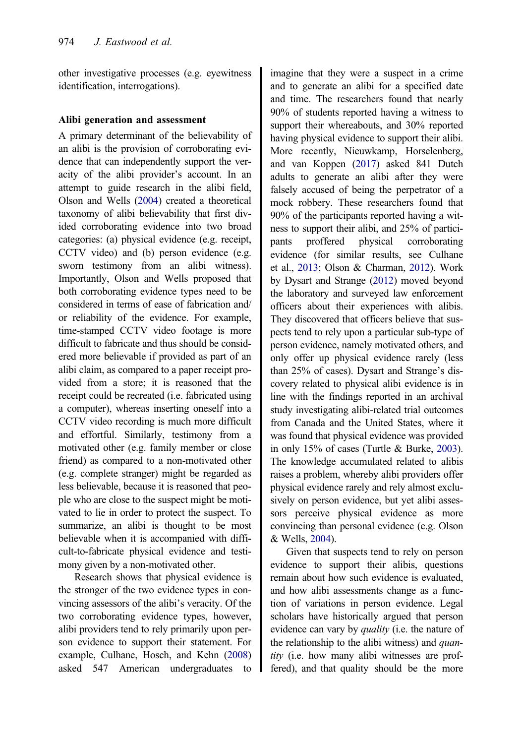<span id="page-2-0"></span>other investigative processes (e.g. eyewitness identification, interrogations).

#### Alibi generation and assessment

A primary determinant of the believability of an alibi is the provision of corroborating evidence that can independently support the veracity of the alibi provider's account. In an attempt to guide research in the alibi field, Olson and Wells [\(2004\)](#page-16-0) created a theoretical taxonomy of alibi believability that first divided corroborating evidence into two broad categories: (a) physical evidence (e.g. receipt, CCTV video) and (b) person evidence (e.g. sworn testimony from an alibi witness). Importantly, Olson and Wells proposed that both corroborating evidence types need to be considered in terms of ease of fabrication and/ or reliability of the evidence. For example, time-stamped CCTV video footage is more difficult to fabricate and thus should be considered more believable if provided as part of an alibi claim, as compared to a paper receipt provided from a store; it is reasoned that the receipt could be recreated (i.e. fabricated using a computer), whereas inserting oneself into a CCTV video recording is much more difficult and effortful. Similarly, testimony from a motivated other (e.g. family member or close friend) as compared to a non-motivated other (e.g. complete stranger) might be regarded as less believable, because it is reasoned that people who are close to the suspect might be motivated to lie in order to protect the suspect. To summarize, an alibi is thought to be most believable when it is accompanied with difficult-to-fabricate physical evidence and testimony given by a non-motivated other.

Research shows that physical evidence is the stronger of the two evidence types in convincing assessors of the alibi's veracity. Of the two corroborating evidence types, however, alibi providers tend to rely primarily upon person evidence to support their statement. For example, Culhane, Hosch, and Kehn [\(2008](#page-15-0)) asked 547 American undergraduates to imagine that they were a suspect in a crime and to generate an alibi for a specified date and time. The researchers found that nearly 90% of students reported having a witness to support their whereabouts, and 30% reported having physical evidence to support their alibi. More recently, Nieuwkamp, Horselenberg, and van Koppen [\(2017\)](#page-16-0) asked 841 Dutch adults to generate an alibi after they were falsely accused of being the perpetrator of a mock robbery. These researchers found that 90% of the participants reported having a witness to support their alibi, and 25% of participants proffered physical corroborating evidence (for similar results, see Culhane et al., [2013;](#page-15-0) Olson & Charman, [2012](#page-16-0)). Work by Dysart and Strange ([2012](#page-15-0)) moved beyond the laboratory and surveyed law enforcement officers about their experiences with alibis. They discovered that officers believe that suspects tend to rely upon a particular sub-type of person evidence, namely motivated others, and only offer up physical evidence rarely (less than 25% of cases). Dysart and Strange's discovery related to physical alibi evidence is in line with the findings reported in an archival study investigating alibi-related trial outcomes from Canada and the United States, where it was found that physical evidence was provided in only 15% of cases (Turtle & Burke, [2003](#page-16-0)). The knowledge accumulated related to alibis raises a problem, whereby alibi providers offer physical evidence rarely and rely almost exclusively on person evidence, but yet alibi assessors perceive physical evidence as more convincing than personal evidence (e.g. Olson & Wells, [2004\)](#page-16-0).

Given that suspects tend to rely on person evidence to support their alibis, questions remain about how such evidence is evaluated, and how alibi assessments change as a function of variations in person evidence. Legal scholars have historically argued that person evidence can vary by *quality* (i.e. the nature of the relationship to the alibi witness) and *quan*tity (i.e. how many alibi witnesses are proffered), and that quality should be the more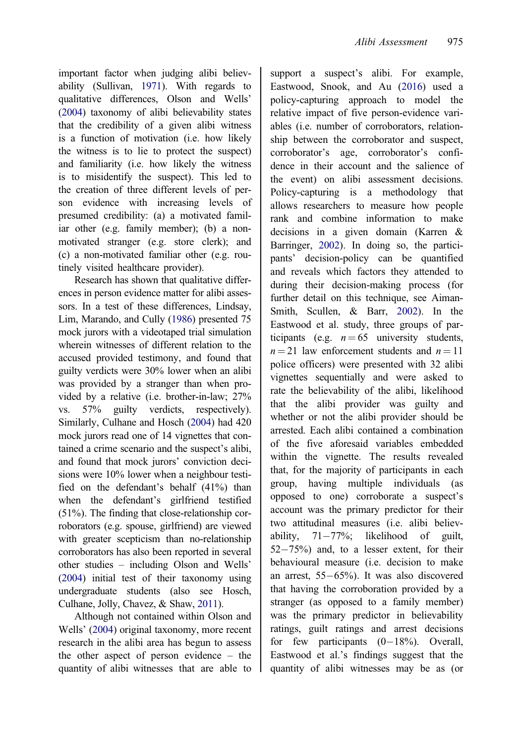<span id="page-3-0"></span>important factor when judging alibi believability (Sullivan, [1971\)](#page-16-0). With regards to qualitative differences, Olson and Wells' [\(2004\)](#page-16-0) taxonomy of alibi believability states that the credibility of a given alibi witness is a function of motivation (i.e. how likely the witness is to lie to protect the suspect) and familiarity (i.e. how likely the witness is to misidentify the suspect). This led to the creation of three different levels of person evidence with increasing levels of presumed credibility: (a) a motivated familiar other (e.g. family member); (b) a nonmotivated stranger (e.g. store clerk); and (c) a non-motivated familiar other (e.g. routinely visited healthcare provider).

Research has shown that qualitative differences in person evidence matter for alibi assessors. In a test of these differences, Lindsay, Lim, Marando, and Cully [\(1986\)](#page-16-0) presented 75 mock jurors with a videotaped trial simulation wherein witnesses of different relation to the accused provided testimony, and found that guilty verdicts were 30% lower when an alibi was provided by a stranger than when provided by a relative (i.e. brother-in-law; 27% vs. 57% guilty verdicts, respectively). Similarly, Culhane and Hosch [\(2004\)](#page-15-0) had 420 mock jurors read one of 14 vignettes that contained a crime scenario and the suspect's alibi, and found that mock jurors' conviction decisions were 10% lower when a neighbour testified on the defendant's behalf (41%) than when the defendant's girlfriend testified (51%). The finding that close-relationship corroborators (e.g. spouse, girlfriend) are viewed with greater scepticism than no-relationship corroborators has also been reported in several other studies – including Olson and Wells' [\(2004\)](#page-16-0) initial test of their taxonomy using undergraduate students (also see Hosch, Culhane, Jolly, Chavez, & Shaw, [2011](#page-16-0)).

Although not contained within Olson and Wells' [\(2004](#page-16-0)) original taxonomy, more recent research in the alibi area has begun to assess the other aspect of person evidence – the quantity of alibi witnesses that are able to support a suspect's alibi. For example, Eastwood, Snook, and Au ([2016](#page-15-0)) used a policy-capturing approach to model the relative impact of five person-evidence variables (i.e. number of corroborators, relationship between the corroborator and suspect, corroborator's age, corroborator's confidence in their account and the salience of the event) on alibi assessment decisions. Policy-capturing is a methodology that allows researchers to measure how people rank and combine information to make decisions in a given domain (Karren & Barringer, [2002\)](#page-16-0). In doing so, the participants' decision-policy can be quantified and reveals which factors they attended to during their decision-making process (for further detail on this technique, see Aiman-Smith, Scullen, & Barr, [2002\)](#page-15-0). In the Eastwood et al. study, three groups of participants (e.g.  $n = 65$  university students,  $n = 21$  law enforcement students and  $n = 11$ police officers) were presented with 32 alibi vignettes sequentially and were asked to rate the believability of the alibi, likelihood that the alibi provider was guilty and whether or not the alibi provider should be arrested. Each alibi contained a combination of the five aforesaid variables embedded within the vignette. The results revealed that, for the majority of participants in each group, having multiple individuals (as opposed to one) corroborate a suspect's account was the primary predictor for their two attitudinal measures (i.e. alibi believability.  $71-77\%$ ; likelihood of guilt, 52-75%) and, to a lesser extent, for their behavioural measure (i.e. decision to make an arrest, 55-65%). It was also discovered that having the corroboration provided by a stranger (as opposed to a family member) was the primary predictor in believability ratings, guilt ratings and arrest decisions for few participants  $(0-18\%)$ . Overall, Eastwood et al.'s findings suggest that the quantity of alibi witnesses may be as (or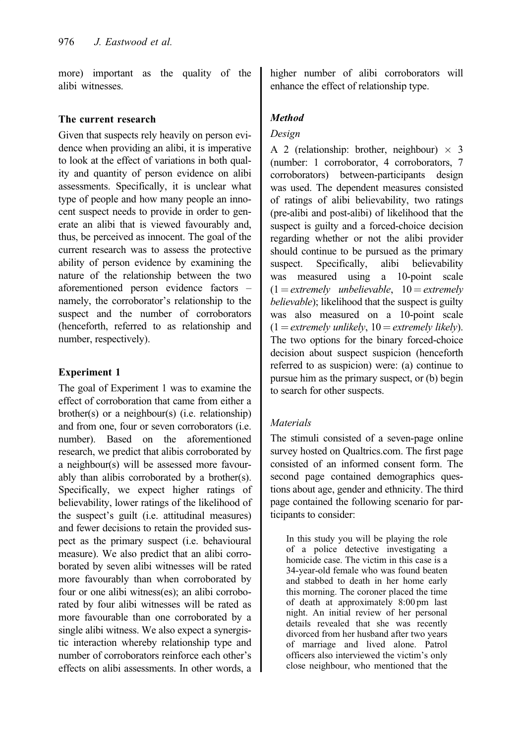more) important as the quality of the alibi witnesses.

#### The current research

Given that suspects rely heavily on person evidence when providing an alibi, it is imperative to look at the effect of variations in both quality and quantity of person evidence on alibi assessments. Specifically, it is unclear what type of people and how many people an innocent suspect needs to provide in order to generate an alibi that is viewed favourably and, thus, be perceived as innocent. The goal of the current research was to assess the protective ability of person evidence by examining the nature of the relationship between the two aforementioned person evidence factors – namely, the corroborator's relationship to the suspect and the number of corroborators (henceforth, referred to as relationship and number, respectively).

## Experiment 1

The goal of Experiment 1 was to examine the effect of corroboration that came from either a brother(s) or a neighbour(s) (i.e. relationship) and from one, four or seven corroborators (i.e. number). Based on the aforementioned research, we predict that alibis corroborated by a neighbour(s) will be assessed more favourably than alibis corroborated by a brother(s). Specifically, we expect higher ratings of believability, lower ratings of the likelihood of the suspect's guilt (i.e. attitudinal measures) and fewer decisions to retain the provided suspect as the primary suspect (i.e. behavioural measure). We also predict that an alibi corroborated by seven alibi witnesses will be rated more favourably than when corroborated by four or one alibi witness(es); an alibi corroborated by four alibi witnesses will be rated as more favourable than one corroborated by a single alibi witness. We also expect a synergistic interaction whereby relationship type and number of corroborators reinforce each other's effects on alibi assessments. In other words, a higher number of alibi corroborators will enhance the effect of relationship type.

# Method

## Design

A 2 (relationship: brother, neighbour)  $\times$  3 (number: 1 corroborator, 4 corroborators, 7 corroborators) between-participants design was used. The dependent measures consisted of ratings of alibi believability, two ratings (pre-alibi and post-alibi) of likelihood that the suspect is guilty and a forced-choice decision regarding whether or not the alibi provider should continue to be pursued as the primary suspect. Specifically, alibi believability was measured using a 10-point scale  $(1 = \text{extremely}$  unbelievable,  $10 = \text{extremely}$ believable); likelihood that the suspect is guilty was also measured on a 10-point scale  $(1 =$  extremely unlikely,  $10 =$  extremely likely). The two options for the binary forced-choice decision about suspect suspicion (henceforth referred to as suspicion) were: (a) continue to pursue him as the primary suspect, or (b) begin to search for other suspects.

# Materials

The stimuli consisted of a seven-page online survey hosted on Qualtrics.com. The first page consisted of an informed consent form. The second page contained demographics questions about age, gender and ethnicity. The third page contained the following scenario for participants to consider:

In this study you will be playing the role of a police detective investigating a homicide case. The victim in this case is a 34-year-old female who was found beaten and stabbed to death in her home early this morning. The coroner placed the time of death at approximately 8:00 pm last night. An initial review of her personal details revealed that she was recently divorced from her husband after two years of marriage and lived alone. Patrol officers also interviewed the victim's only close neighbour, who mentioned that the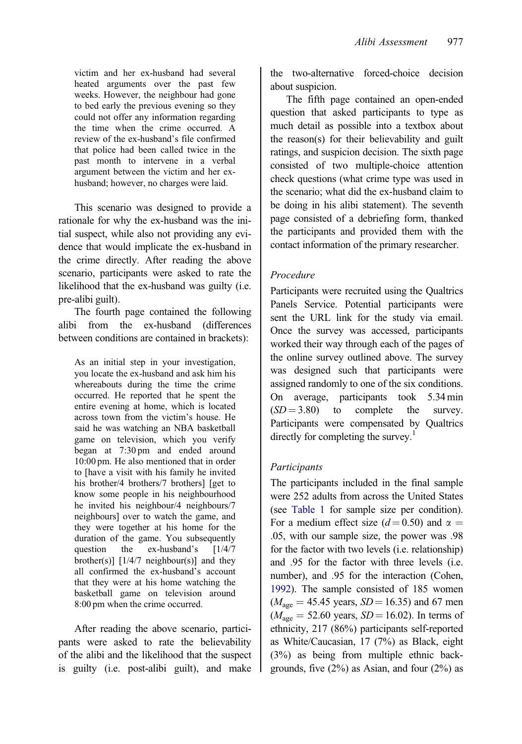<span id="page-5-0"></span>victim and her ex-husband had several heated arguments over the past few weeks. However, the neighbour had gone to bed early the previous evening so they could not offer any information regarding the time when the crime occurred. A review of the ex-husband's file confirmed that police had been called twice in the past month to intervene in a verbal argument between the victim and her exhusband; however, no charges were laid.

This scenario was designed to provide a rationale for why the ex-husband was the initial suspect, while also not providing any evidence that would implicate the ex-husband in the crime directly. After reading the above scenario, participants were asked to rate the likelihood that the ex-husband was guilty (i.e. pre-alibi guilt).

The fourth page contained the following alibi from the ex-husband (differences between conditions are contained in brackets):

As an initial step in your investigation, you locate the ex-husband and ask him his whereabouts during the time the crime occurred. He reported that he spent the entire evening at home, which is located across town from the victim's house. He said he was watching an NBA basketball game on television, which you verify began at 7:30 pm and ended around 10:00 pm. He also mentioned that in order to [have a visit with his family he invited his brother/4 brothers/7 brothers] [get to know some people in his neighbourhood he invited his neighbour/4 neighbours/7 neighbours] over to watch the game, and they were together at his home for the duration of the game. You subsequently question the ex-husband's [1/4/7 brother(s)]  $[1/4/7 \text{ neighbor}(s)]$  and they all confirmed the ex-husband's account that they were at his home watching the basketball game on television around 8:00 pm when the crime occurred.

After reading the above scenario, participants were asked to rate the believability of the alibi and the likelihood that the suspect is guilty (i.e. post-alibi guilt), and make the two-alternative forced-choice decision about suspicion.

The fifth page contained an open-ended question that asked participants to type as much detail as possible into a textbox about the reason(s) for their believability and guilt ratings, and suspicion decision. The sixth page consisted of two multiple-choice attention check questions (what crime type was used in the scenario; what did the ex-husband claim to be doing in his alibi statement). The seventh page consisted of a debriefing form, thanked the participants and provided them with the contact information of the primary researcher.

## Procedure

Participants were recruited using the Qualtrics Panels Service. Potential participants were sent the URL link for the study via email. Once the survey was accessed, participants worked their way through each of the pages of the online survey outlined above. The survey was designed such that participants were assigned randomly to one of the six conditions. On average, participants took 5.34 min  $(SD = 3.80)$  to complete the survey. Participants were compensated by Qualtrics directly for completing the survey.<sup>1</sup>

# Participants

The participants included in the final sample were 252 adults from across the United States (see [Table 1](#page-6-0) for sample size per condition). For a medium effect size ( $d = 0.50$ ) and  $\alpha =$ .05, with our sample size, the power was .98 for the factor with two levels (i.e. relationship) and .95 for the factor with three levels (i.e. number), and .95 for the interaction (Cohen, [1992\)](#page-15-0). The sample consisted of 185 women  $(M<sub>age</sub> = 45.45 \text{ years}, SD = 16.35)$  and 67 men  $(M<sub>age</sub> = 52.60 years, SD = 16.02)$ . In terms of ethnicity, 217 (86%) participants self-reported as White/Caucasian, 17 (7%) as Black, eight (3%) as being from multiple ethnic backgrounds, five  $(2\%)$  as Asian, and four  $(2\%)$  as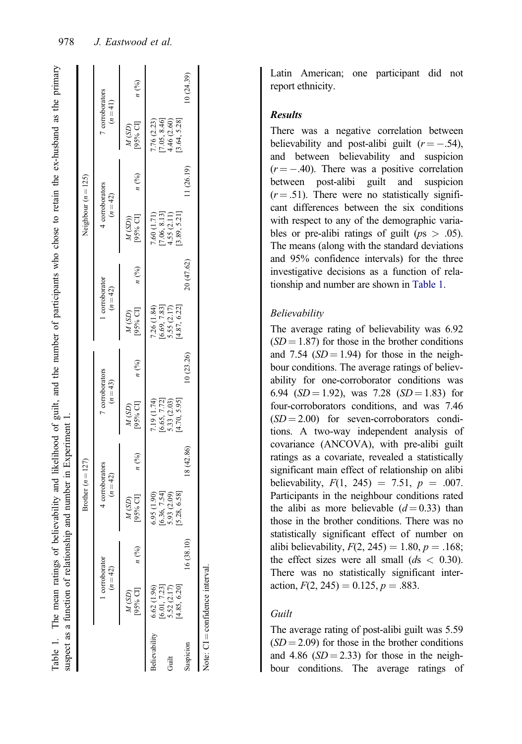<span id="page-6-0"></span>

|               |                              |                 | Brother $(n = 127)$                             |            |                                               |                 |                                               |                    | Neighbour $(n = 125)$                          |            |                                                 |                 |
|---------------|------------------------------|-----------------|-------------------------------------------------|------------|-----------------------------------------------|-----------------|-----------------------------------------------|--------------------|------------------------------------------------|------------|-------------------------------------------------|-----------------|
|               | 1 corroborator<br>$(n = 42)$ |                 | 4 corroborators<br>$(n = 42)$                   |            | 7 corroborators<br>$(n=43)$                   |                 | 1 corroborator<br>$(n=42)$                    |                    | 4 corroborators<br>$(n = 42)$                  |            | 7 corroborators<br>$(n=41)$                     |                 |
|               | [95% CI]<br>M(SD)            | $n\binom{0}{0}$ | [95% CI]<br>M(SD)                               | n(%)       | [95% CI]<br>M(SD)                             | $n\binom{0}{0}$ | [95% CI]<br>M(SD)                             | $n$ $\binom{0}{0}$ | M (SD))<br>[95% CI]                            | n(%)       | $M(SD)$<br>[95% CI]                             | $n\binom{0}{0}$ |
| Believability | 6.62(1.96)<br>[6.01, 7.23]   |                 | 6.95(1.90)                                      |            | 7.19 (1.74)                                   |                 | 7.26 (1.84)                                   |                    | 7.60 (1.71)                                    |            | 7.76 (2.23)                                     |                 |
| Guilt         | 4.85, 6.20]<br>5.52 (2.17)   |                 | $[6.36, 7.54]$<br>5.93 $(2.09)$<br>[5.28, 6.58] |            | [4.70, 5.95]<br>$[6.65, 7.72]$<br>5.33 (2.03) |                 | $[6.69, 7.83]$<br>5.55 (2.17)<br>[4.87, 6.22] |                    | $[7.06, 8.13]$<br>4.55 $(2.11)$<br>3.89, 5.21] |            | $[7.05, 8.46]$<br>4.46 $(2.60)$<br>[3.64, 5.28] |                 |
| Suspicion     |                              | 16 (38.10)      |                                                 | 18 (42.86) |                                               | 10(23.26)       |                                               | 20 (47.62)         |                                                | 11 (26.19) |                                                 | 10(24.39)       |

#### Results

There was a negative correlation between believability and post-alibi guilt  $(r = -.54)$ , and between believability and suspicion  $(r = -0.40)$ . There was a positive correlation between post-alibi guilt and suspicion  $(r = .51)$ . There were no statistically significant differences between the six conditions with respect to any of the demographic variables or pre-alibi ratings of guilt ( $ps > .05$ ). The means (along with the standard deviations and 95% confidence intervals) for the three investigative decisions as a function of relationship and number are shown in Table 1.

#### Believability

The average rating of believability was 6.92  $(SD = 1.87)$  for those in the brother conditions and 7.54  $(SD = 1.94)$  for those in the neighbour conditions. The average ratings of believability for one-corroborator conditions was 6.94 ( $SD = 1.92$ ), was 7.28 ( $SD = 1.83$ ) for four-corroborators conditions, and was 7.46  $(SD = 2.00)$  for seven-corroborators conditions. A two-way independent analysis of covariance (ANCOVA), with pre-alibi guilt ratings as a covariate, revealed a statistically significant main effect of relationship on alibi believability,  $F(1, 245) = 7.51$ ,  $p = .007$ . Participants in the neighbour conditions rated the alibi as more believable  $(d=0.33)$  than those in the brother conditions. There was no statistically significant effect of number on alibi believability,  $F(2, 245) = 1.80, p = .168;$ the effect sizes were all small  $(ds < 0.30)$ . There was no statistically significant interaction,  $F(2, 245) = 0.125$ ,  $p = .883$ .

#### Guilt

The average rating of post-alibi guilt was 5.59  $(SD = 2.09)$  for those in the brother conditions and 4.86  $(SD = 2.33)$  for those in the neighbour conditions. The average ratings of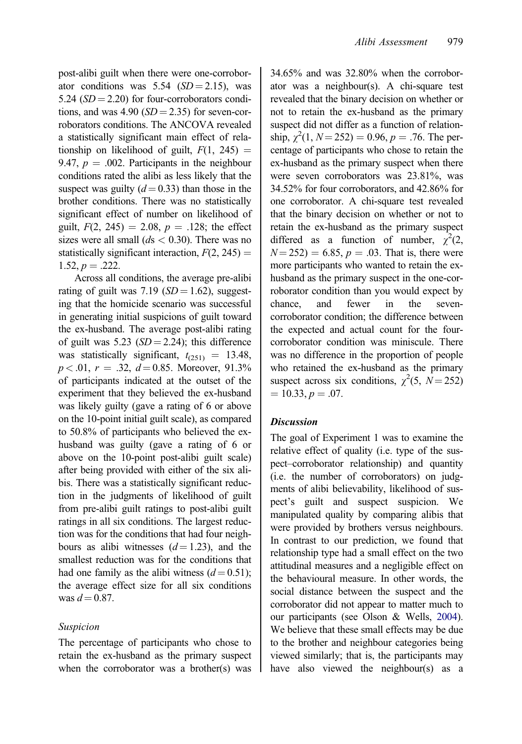post-alibi guilt when there were one-corroborator conditions was  $5.54$  (SD = 2.15), was 5.24  $(SD = 2.20)$  for four-corroborators conditions, and was  $4.90$  (SD = 2.35) for seven-corroborators conditions. The ANCOVA revealed a statistically significant main effect of relationship on likelihood of guilt,  $F(1, 245) =$ 9.47,  $p = .002$ . Participants in the neighbour conditions rated the alibi as less likely that the suspect was guilty  $(d = 0.33)$  than those in the brother conditions. There was no statistically significant effect of number on likelihood of guilt,  $F(2, 245) = 2.08$ ,  $p = .128$ ; the effect sizes were all small  $(ds < 0.30)$ . There was no statistically significant interaction,  $F(2, 245) =$  $1.52, p = .222.$ 

Across all conditions, the average pre-alibi rating of guilt was 7.19  $(SD = 1.62)$ , suggesting that the homicide scenario was successful in generating initial suspicions of guilt toward the ex-husband. The average post-alibi rating of guilt was  $5.23$  ( $SD = 2.24$ ); this difference was statistically significant,  $t_{(251)} = 13.48$ ,  $p < .01$ ,  $r = .32$ ,  $d = 0.85$ . Moreover, 91.3% of participants indicated at the outset of the experiment that they believed the ex-husband was likely guilty (gave a rating of 6 or above on the 10-point initial guilt scale), as compared to 50.8% of participants who believed the exhusband was guilty (gave a rating of 6 or above on the 10-point post-alibi guilt scale) after being provided with either of the six alibis. There was a statistically significant reduction in the judgments of likelihood of guilt from pre-alibi guilt ratings to post-alibi guilt ratings in all six conditions. The largest reduction was for the conditions that had four neighbours as alibi witnesses  $(d=1.23)$ , and the smallest reduction was for the conditions that had one family as the alibi witness  $(d=0.51)$ ; the average effect size for all six conditions was  $d = 0.87$ .

#### Suspicion

The percentage of participants who chose to retain the ex-husband as the primary suspect when the corroborator was a brother(s) was 34.65% and was 32.80% when the corroborator was a neighbour(s). A chi-square test revealed that the binary decision on whether or not to retain the ex-husband as the primary suspect did not differ as a function of relationship,  $\chi^2(1, N=252) = 0.96, p = .76$ . The percentage of participants who chose to retain the ex-husband as the primary suspect when there were seven corroborators was 23.81%, was 34.52% for four corroborators, and 42.86% for one corroborator. A chi-square test revealed that the binary decision on whether or not to retain the ex-husband as the primary suspect differed as a function of number,  $\chi^2(2,$  $N = 252$ ) = 6.85, p = .03. That is, there were more participants who wanted to retain the exhusband as the primary suspect in the one-corroborator condition than you would expect by chance, and fewer in the sevencorroborator condition; the difference between the expected and actual count for the fourcorroborator condition was miniscule. There was no difference in the proportion of people who retained the ex-husband as the primary suspect across six conditions,  $\chi^2$ (5,  $N = 252$ )  $= 10.33, p = .07.$ 

#### **Discussion**

The goal of Experiment 1 was to examine the relative effect of quality (i.e. type of the suspect–corroborator relationship) and quantity (i.e. the number of corroborators) on judgments of alibi believability, likelihood of suspect's guilt and suspect suspicion. We manipulated quality by comparing alibis that were provided by brothers versus neighbours. In contrast to our prediction, we found that relationship type had a small effect on the two attitudinal measures and a negligible effect on the behavioural measure. In other words, the social distance between the suspect and the corroborator did not appear to matter much to our participants (see Olson & Wells, [2004](#page-16-0)). We believe that these small effects may be due to the brother and neighbour categories being viewed similarly; that is, the participants may have also viewed the neighbour(s) as a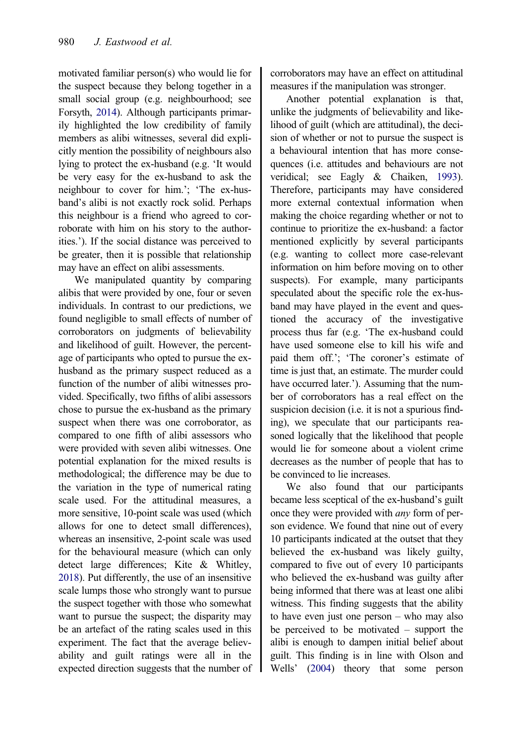<span id="page-8-0"></span>motivated familiar person(s) who would lie for the suspect because they belong together in a small social group (e.g. neighbourhood; see Forsyth, [2014](#page-16-0)). Although participants primarily highlighted the low credibility of family members as alibi witnesses, several did explicitly mention the possibility of neighbours also lying to protect the ex-husband (e.g. 'It would be very easy for the ex-husband to ask the neighbour to cover for him.'; 'The ex-husband's alibi is not exactly rock solid. Perhaps this neighbour is a friend who agreed to corroborate with him on his story to the authorities.'). If the social distance was perceived to be greater, then it is possible that relationship may have an effect on alibi assessments.

We manipulated quantity by comparing alibis that were provided by one, four or seven individuals. In contrast to our predictions, we found negligible to small effects of number of corroborators on judgments of believability and likelihood of guilt. However, the percentage of participants who opted to pursue the exhusband as the primary suspect reduced as a function of the number of alibi witnesses provided. Specifically, two fifths of alibi assessors chose to pursue the ex-husband as the primary suspect when there was one corroborator, as compared to one fifth of alibi assessors who were provided with seven alibi witnesses. One potential explanation for the mixed results is methodological; the difference may be due to the variation in the type of numerical rating scale used. For the attitudinal measures, a more sensitive, 10-point scale was used (which allows for one to detect small differences), whereas an insensitive, 2-point scale was used for the behavioural measure (which can only detect large differences; Kite & Whitley, [2018\)](#page-16-0). Put differently, the use of an insensitive scale lumps those who strongly want to pursue the suspect together with those who somewhat want to pursue the suspect; the disparity may be an artefact of the rating scales used in this experiment. The fact that the average believability and guilt ratings were all in the expected direction suggests that the number of corroborators may have an effect on attitudinal measures if the manipulation was stronger.

Another potential explanation is that, unlike the judgments of believability and likelihood of guilt (which are attitudinal), the decision of whether or not to pursue the suspect is a behavioural intention that has more consequences (i.e. attitudes and behaviours are not veridical; see Eagly & Chaiken, [1993](#page-15-0)). Therefore, participants may have considered more external contextual information when making the choice regarding whether or not to continue to prioritize the ex-husband: a factor mentioned explicitly by several participants (e.g. wanting to collect more case-relevant information on him before moving on to other suspects). For example, many participants speculated about the specific role the ex-husband may have played in the event and questioned the accuracy of the investigative process thus far (e.g. 'The ex-husband could have used someone else to kill his wife and paid them off.'; 'The coroner's estimate of time is just that, an estimate. The murder could have occurred later.'). Assuming that the number of corroborators has a real effect on the suspicion decision (i.e. it is not a spurious finding), we speculate that our participants reasoned logically that the likelihood that people would lie for someone about a violent crime decreases as the number of people that has to be convinced to lie increases.

We also found that our participants became less sceptical of the ex-husband's guilt once they were provided with any form of person evidence. We found that nine out of every 10 participants indicated at the outset that they believed the ex-husband was likely guilty, compared to five out of every 10 participants who believed the ex-husband was guilty after being informed that there was at least one alibi witness. This finding suggests that the ability to have even just one person – who may also be perceived to be motivated – support the alibi is enough to dampen initial belief about guilt. This finding is in line with Olson and Wells' ([2004](#page-16-0)) theory that some person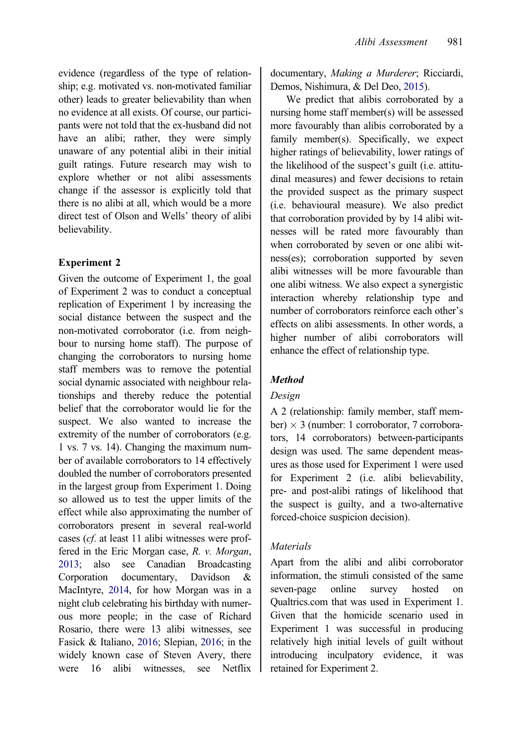<span id="page-9-0"></span>evidence (regardless of the type of relationship; e.g. motivated vs. non-motivated familiar other) leads to greater believability than when no evidence at all exists. Of course, our participants were not told that the ex-husband did not have an alibi; rather, they were simply unaware of any potential alibi in their initial guilt ratings. Future research may wish to explore whether or not alibi assessments change if the assessor is explicitly told that there is no alibi at all, which would be a more direct test of Olson and Wells' theory of alibi believability.

## Experiment 2

Given the outcome of Experiment 1, the goal of Experiment 2 was to conduct a conceptual replication of Experiment 1 by increasing the social distance between the suspect and the non-motivated corroborator (i.e. from neighbour to nursing home staff). The purpose of changing the corroborators to nursing home staff members was to remove the potential social dynamic associated with neighbour relationships and thereby reduce the potential belief that the corroborator would lie for the suspect. We also wanted to increase the extremity of the number of corroborators (e.g. 1 vs. 7 vs. 14). Changing the maximum number of available corroborators to 14 effectively doubled the number of corroborators presented in the largest group from Experiment 1. Doing so allowed us to test the upper limits of the effect while also approximating the number of corroborators present in several real-world cases (cf. at least 11 alibi witnesses were proffered in the Eric Morgan case, R. v. Morgan, [2013;](#page-16-0) also see Canadian Broadcasting Corporation documentary, Davidson & MacIntyre, [2014,](#page-15-0) for how Morgan was in a night club celebrating his birthday with numerous more people; in the case of Richard Rosario, there were 13 alibi witnesses, see Fasick & Italiano, [2016](#page-15-0); Slepian, [2016](#page-16-0); in the widely known case of Steven Avery, there were 16 alibi witnesses, see Netflix

documentary, Making a Murderer; Ricciardi, Demos, Nishimura, & Del Deo, [2015\)](#page-16-0).

We predict that alibis corroborated by a nursing home staff member(s) will be assessed more favourably than alibis corroborated by a family member(s). Specifically, we expect higher ratings of believability, lower ratings of the likelihood of the suspect's guilt (i.e. attitudinal measures) and fewer decisions to retain the provided suspect as the primary suspect (i.e. behavioural measure). We also predict that corroboration provided by by 14 alibi witnesses will be rated more favourably than when corroborated by seven or one alibi witness(es); corroboration supported by seven alibi witnesses will be more favourable than one alibi witness. We also expect a synergistic interaction whereby relationship type and number of corroborators reinforce each other's effects on alibi assessments. In other words, a higher number of alibi corroborators will enhance the effect of relationship type.

# Method

# Design

A 2 (relationship: family member, staff member)  $\times$  3 (number: 1 corroborator, 7 corroborators, 14 corroborators) between-participants design was used. The same dependent measures as those used for Experiment 1 were used for Experiment 2 (i.e. alibi believability, pre- and post-alibi ratings of likelihood that the suspect is guilty, and a two-alternative forced-choice suspicion decision).

# Materials

Apart from the alibi and alibi corroborator information, the stimuli consisted of the same seven-page online survey hosted on Qualtrics.com that was used in Experiment 1. Given that the homicide scenario used in Experiment 1 was successful in producing relatively high initial levels of guilt without introducing inculpatory evidence, it was retained for Experiment 2.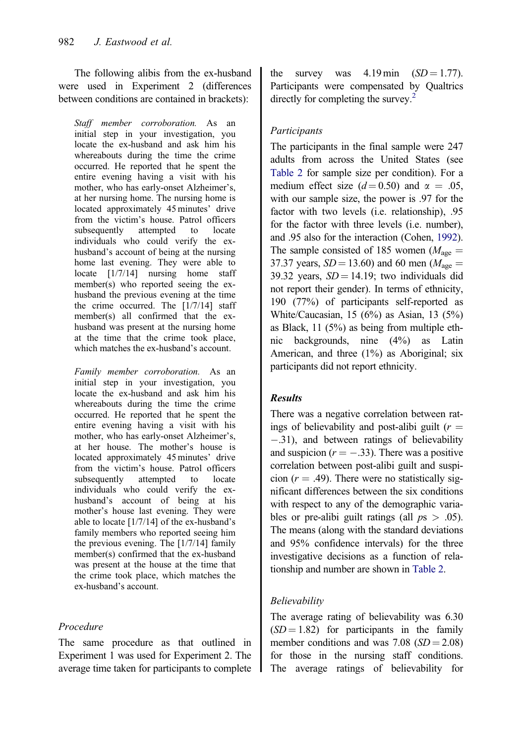<span id="page-10-0"></span>The following alibis from the ex-husband were used in Experiment 2 (differences between conditions are contained in brackets):

Staff member corroboration. As an initial step in your investigation, you locate the ex-husband and ask him his whereabouts during the time the crime occurred. He reported that he spent the entire evening having a visit with his mother, who has early-onset Alzheimer's, at her nursing home. The nursing home is located approximately 45 minutes' drive from the victim's house. Patrol officers subsequently attempted to locate individuals who could verify the exhusband's account of being at the nursing home last evening. They were able to locate [1/7/14] nursing home staff member(s) who reported seeing the exhusband the previous evening at the time the crime occurred. The  $[1/7/14]$  staff member(s) all confirmed that the exhusband was present at the nursing home at the time that the crime took place, which matches the ex-husband's account.

Family member corroboration. As an initial step in your investigation, you locate the ex-husband and ask him his whereabouts during the time the crime occurred. He reported that he spent the entire evening having a visit with his mother, who has early-onset Alzheimer's, at her house. The mother's house is located approximately 45 minutes' drive from the victim's house. Patrol officers subsequently attempted to locate individuals who could verify the exhusband's account of being at his mother's house last evening. They were able to locate [1/7/14] of the ex-husband's family members who reported seeing him the previous evening. The [1/7/14] family member(s) confirmed that the ex-husband was present at the house at the time that the crime took place, which matches the ex-husband's account.

# Procedure

The same procedure as that outlined in Experiment 1 was used for Experiment 2. The average time taken for participants to complete the survey was  $4.19 \text{ min}$  (SD = 1.77). Participants were compensated by Qualtrics directly for completing the survey.<sup>2</sup>

# **Participants**

The participants in the final sample were 247 adults from across the United States (see [Table 2](#page-11-0) for sample size per condition). For a medium effect size  $(d= 0.50)$  and  $\alpha = .05$ , with our sample size, the power is .97 for the factor with two levels (i.e. relationship), .95 for the factor with three levels (i.e. number), and .95 also for the interaction (Cohen, [1992](#page-15-0)). The sample consisted of 185 women ( $M_{\text{age}} =$ 37.37 years,  $SD = 13.60$ ) and 60 men ( $M_{\text{age}} =$ 39.32 years,  $SD = 14.19$ ; two individuals did not report their gender). In terms of ethnicity, 190 (77%) of participants self-reported as White/Caucasian, 15 (6%) as Asian, 13 (5%) as Black, 11 (5%) as being from multiple ethnic backgrounds, nine (4%) as Latin American, and three (1%) as Aboriginal; six participants did not report ethnicity.

## Results

There was a negative correlation between ratings of believability and post-alibi guilt ( $r =$ -.31), and between ratings of believability and suspicion ( $r = -.33$ ). There was a positive correlation between post-alibi guilt and suspicion ( $r = .49$ ). There were no statistically significant differences between the six conditions with respect to any of the demographic variables or pre-alibi guilt ratings (all  $ps > .05$ ). The means (along with the standard deviations and 95% confidence intervals) for the three investigative decisions as a function of relationship and number are shown in [Table 2](#page-11-0).

# Believability

The average rating of believability was 6.30  $(SD = 1.82)$  for participants in the family member conditions and was  $7.08$  ( $SD = 2.08$ ) for those in the nursing staff conditions. The average ratings of believability for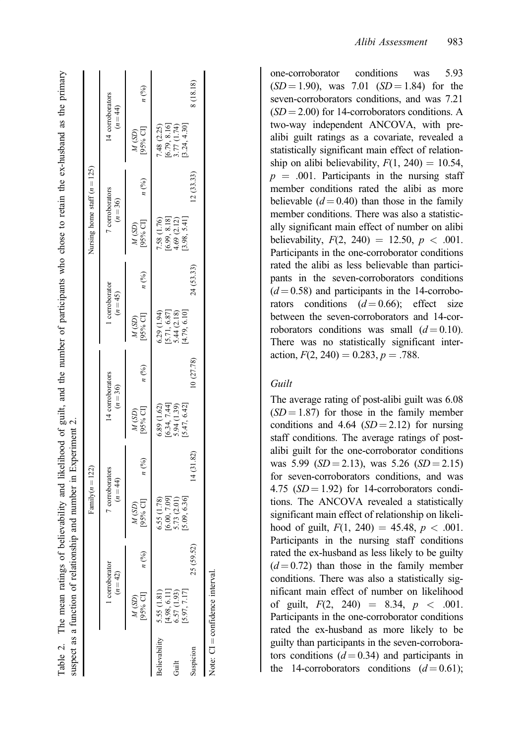|           |                                           |                 | suspect as a function of relationship and number in Experiment 2.<br>Family $(n = 122)$       |           |                                                                                               |            |                                                                             |                 | Nursing home staff $(n = 125)$                                 |           |                                                            |                 |
|-----------|-------------------------------------------|-----------------|-----------------------------------------------------------------------------------------------|-----------|-----------------------------------------------------------------------------------------------|------------|-----------------------------------------------------------------------------|-----------------|----------------------------------------------------------------|-----------|------------------------------------------------------------|-----------------|
|           | 1 corroborator<br>$(n=42)$                |                 | 7 corroborators<br>$(n = 44)$                                                                 |           | 14 corroborators<br>$(n = 36)$                                                                |            | 1 corroborator<br>$(n=45)$                                                  |                 | 7 corroborators<br>$(n = 36)$                                  |           | 14 corroborators<br>$(n = 44)$                             |                 |
|           | [95% CI]<br>$M(SD)$                       | $n\binom{0}{0}$ | M (SD)<br>[95% CI]                                                                            | $n$ (%)   | $M(SD)$<br>[95%CI]                                                                            | n(%)       | $M(SD)$<br>[95% CI]                                                         | $n\binom{0}{0}$ | $M(SD)$<br>[95% CI]                                            | $n$ (%)   | M (SD)<br>[95% CI]                                         | $n\binom{0}{0}$ |
|           | Believability 5.55 (1.81)<br>[4.98, 6.11] |                 |                                                                                               |           |                                                                                               |            |                                                                             |                 |                                                                |           |                                                            |                 |
| Guilt     | 6.57 (1.93)                               |                 | $\begin{array}{c} 6.55 \ (1.78) \\ [6.00, 7.09] \\ 5.73 \ (2.01) \\ [5.09, 6.36] \end{array}$ |           | $\begin{array}{c} 6.89 \ (1.62) \\ [6.34, 7.44] \\ 5.94 \ (1.39) \\ [5.47, 6.42] \end{array}$ |            | $\begin{array}{c} 6.29 \\ [5.71, 6.87] \\ 5.44 \\ [4.79, 6.18] \end{array}$ |                 | 7.58 $(1.76)$<br>[6.99, 8.18]<br>4.69 $(2.12)$<br>[3.98, 5.41] |           | 7.48 (2.25)<br>[6.79, 8.16]<br>3.77 (1.74)<br>[3.24, 4.30] |                 |
| Suspicion | [5.97, 7.17]                              | 25 (59.52)      |                                                                                               | 14(31.82) |                                                                                               | (0(27.78)) |                                                                             | 24 (53.33)      |                                                                | 12(33.33) |                                                            | 8 (18.18)       |
|           | Note: CI = confidence interval            |                 |                                                                                               |           |                                                                                               |            |                                                                             |                 |                                                                |           |                                                            |                 |

Table 2. The mean ratings of believability and likelihood of guilt, and the number of participants who chose to retain the ex-husband as the primary

Table 2.

<span id="page-11-0"></span>The mean ratings of believability and likelihood of guilt, and the number of participants who chose to retain the ex-husband as the primary

one-corroborator conditions was 5.93  $(SD = 1.90)$ , was 7.01  $(SD = 1.84)$  for the seven-corroborators conditions, and was 7.21  $(SD = 2.00)$  for 14-corroborators conditions. A two-way independent ANCOVA, with prealibi guilt ratings as a covariate, revealed a statistically significant main effect of relationship on alibi believability,  $F(1, 240) = 10.54$ ,  $p = .001$ . Participants in the nursing staff member conditions rated the alibi as more believable  $(d=0.40)$  than those in the family member conditions. There was also a statistically significant main effect of number on alibi believability,  $F(2, 240) = 12.50, p < .001$ . Participants in the one-corroborator conditions rated the alibi as less believable than participants in the seven-corroborators conditions  $(d=0.58)$  and participants in the 14-corroborators conditions  $(d=0.66)$ ; effect size between the seven-corroborators and 14-corroborators conditions was small  $(d=0.10)$ . There was no statistically significant interaction,  $F(2, 240) = 0.283$ ,  $p = .788$ .

#### Guilt

The average rating of post-alibi guilt was 6.08  $(SD = 1.87)$  for those in the family member conditions and 4.64  $(SD = 2.12)$  for nursing staff conditions. The average ratings of postalibi guilt for the one-corroborator conditions was  $5.99$  ( $SD = 2.13$ ), was  $5.26$  ( $SD = 2.15$ ) for seven-corroborators conditions, and was 4.75  $(SD = 1.92)$  for 14-corroborators conditions. The ANCOVA revealed a statistically significant main effect of relationship on likelihood of guilt,  $F(1, 240) = 45.48$ ,  $p < .001$ . Participants in the nursing staff conditions rated the ex-husband as less likely to be guilty  $(d=0.72)$  than those in the family member conditions. There was also a statistically significant main effect of number on likelihood of guilt,  $F(2, 240) = 8.34, p < .001$ . Participants in the one-corroborator conditions rated the ex-husband as more likely to be guilty than participants in the seven-corroborators conditions  $(d = 0.34)$  and participants in the 14-corroborators conditions  $(d=0.61)$ ;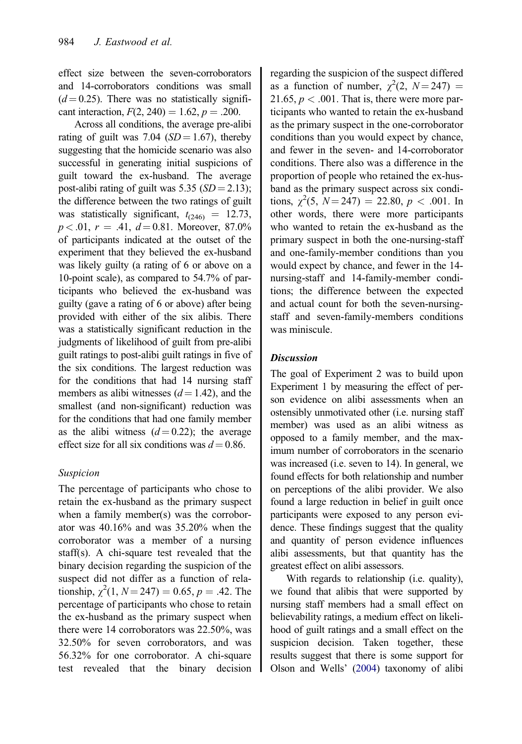effect size between the seven-corroborators and 14-corroborators conditions was small  $(d=0.25)$ . There was no statistically significant interaction,  $F(2, 240) = 1.62$ ,  $p = .200$ .

Across all conditions, the average pre-alibi rating of guilt was 7.04 ( $SD = 1.67$ ), thereby suggesting that the homicide scenario was also successful in generating initial suspicions of guilt toward the ex-husband. The average post-alibi rating of guilt was  $5.35$  ( $SD = 2.13$ ); the difference between the two ratings of guilt was statistically significant,  $t_{(246)} = 12.73$ ,  $p < .01$ ,  $r = .41$ ,  $d = 0.81$ . Moreover, 87.0% of participants indicated at the outset of the experiment that they believed the ex-husband was likely guilty (a rating of 6 or above on a 10-point scale), as compared to 54.7% of participants who believed the ex-husband was guilty (gave a rating of 6 or above) after being provided with either of the six alibis. There was a statistically significant reduction in the judgments of likelihood of guilt from pre-alibi guilt ratings to post-alibi guilt ratings in five of the six conditions. The largest reduction was for the conditions that had 14 nursing staff members as alibi witnesses  $(d = 1.42)$ , and the smallest (and non-significant) reduction was for the conditions that had one family member as the alibi witness  $(d=0.22)$ ; the average effect size for all six conditions was  $d = 0.86$ .

#### Suspicion

The percentage of participants who chose to retain the ex-husband as the primary suspect when a family member(s) was the corroborator was 40.16% and was 35.20% when the corroborator was a member of a nursing staff(s). A chi-square test revealed that the binary decision regarding the suspicion of the suspect did not differ as a function of relationship,  $\chi^2(1, N=247) = 0.65, p = .42$ . The percentage of participants who chose to retain the ex-husband as the primary suspect when there were 14 corroborators was 22.50%, was 32.50% for seven corroborators, and was 56.32% for one corroborator. A chi-square test revealed that the binary decision regarding the suspicion of the suspect differed as a function of number,  $\chi^2(2, N=247)$  = 21.65,  $p < .001$ . That is, there were more participants who wanted to retain the ex-husband as the primary suspect in the one-corroborator conditions than you would expect by chance, and fewer in the seven- and 14-corroborator conditions. There also was a difference in the proportion of people who retained the ex-husband as the primary suspect across six conditions,  $\chi^2(5, N=247) = 22.80, p < .001$ . In other words, there were more participants who wanted to retain the ex-husband as the primary suspect in both the one-nursing-staff and one-family-member conditions than you would expect by chance, and fewer in the 14 nursing-staff and 14-family-member conditions; the difference between the expected and actual count for both the seven-nursingstaff and seven-family-members conditions was miniscule.

#### **Discussion**

The goal of Experiment 2 was to build upon Experiment 1 by measuring the effect of person evidence on alibi assessments when an ostensibly unmotivated other (i.e. nursing staff member) was used as an alibi witness as opposed to a family member, and the maximum number of corroborators in the scenario was increased (i.e. seven to 14). In general, we found effects for both relationship and number on perceptions of the alibi provider. We also found a large reduction in belief in guilt once participants were exposed to any person evidence. These findings suggest that the quality and quantity of person evidence influences alibi assessments, but that quantity has the greatest effect on alibi assessors.

With regards to relationship (i.e. quality), we found that alibis that were supported by nursing staff members had a small effect on believability ratings, a medium effect on likelihood of guilt ratings and a small effect on the suspicion decision. Taken together, these results suggest that there is some support for Olson and Wells' [\(2004\)](#page-16-0) taxonomy of alibi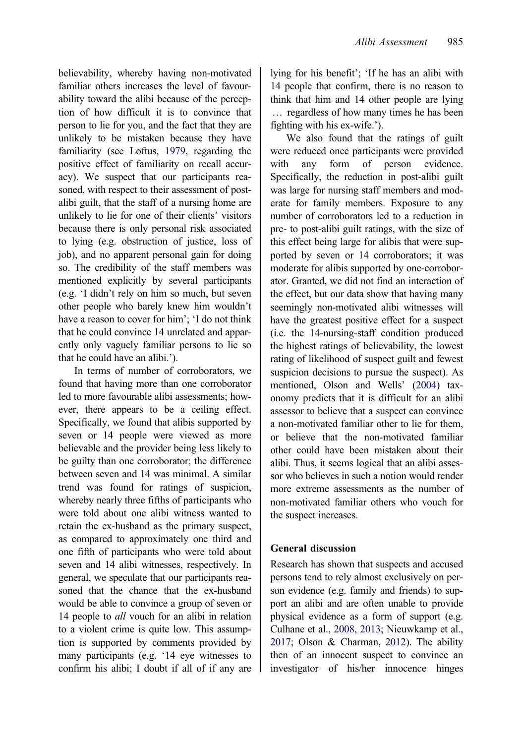<span id="page-13-0"></span>believability, whereby having non-motivated familiar others increases the level of favourability toward the alibi because of the perception of how difficult it is to convince that person to lie for you, and the fact that they are unlikely to be mistaken because they have familiarity (see Loftus, [1979](#page-16-0), regarding the positive effect of familiarity on recall accuracy). We suspect that our participants reasoned, with respect to their assessment of postalibi guilt, that the staff of a nursing home are unlikely to lie for one of their clients' visitors because there is only personal risk associated to lying (e.g. obstruction of justice, loss of job), and no apparent personal gain for doing so. The credibility of the staff members was mentioned explicitly by several participants (e.g. 'I didn't rely on him so much, but seven other people who barely knew him wouldn't have a reason to cover for him'; 'I do not think that he could convince 14 unrelated and apparently only vaguely familiar persons to lie so that he could have an alibi.').

In terms of number of corroborators, we found that having more than one corroborator led to more favourable alibi assessments; however, there appears to be a ceiling effect. Specifically, we found that alibis supported by seven or 14 people were viewed as more believable and the provider being less likely to be guilty than one corroborator; the difference between seven and 14 was minimal. A similar trend was found for ratings of suspicion, whereby nearly three fifths of participants who were told about one alibi witness wanted to retain the ex-husband as the primary suspect, as compared to approximately one third and one fifth of participants who were told about seven and 14 alibi witnesses, respectively. In general, we speculate that our participants reasoned that the chance that the ex-husband would be able to convince a group of seven or 14 people to *all* vouch for an alibi in relation to a violent crime is quite low. This assumption is supported by comments provided by many participants (e.g. '14 eye witnesses to confirm his alibi; I doubt if all of if any are

lying for his benefit'; 'If he has an alibi with 14 people that confirm, there is no reason to think that him and 14 other people are lying … regardless of how many times he has been fighting with his ex-wife.').

We also found that the ratings of guilt were reduced once participants were provided with any form of person evidence. Specifically, the reduction in post-alibi guilt was large for nursing staff members and moderate for family members. Exposure to any number of corroborators led to a reduction in pre- to post-alibi guilt ratings, with the size of this effect being large for alibis that were supported by seven or 14 corroborators; it was moderate for alibis supported by one-corroborator. Granted, we did not find an interaction of the effect, but our data show that having many seemingly non-motivated alibi witnesses will have the greatest positive effect for a suspect (i.e. the 14-nursing-staff condition produced the highest ratings of believability, the lowest rating of likelihood of suspect guilt and fewest suspicion decisions to pursue the suspect). As mentioned, Olson and Wells' [\(2004\)](#page-16-0) taxonomy predicts that it is difficult for an alibi assessor to believe that a suspect can convince a non-motivated familiar other to lie for them, or believe that the non-motivated familiar other could have been mistaken about their alibi. Thus, it seems logical that an alibi assessor who believes in such a notion would render more extreme assessments as the number of non-motivated familiar others who vouch for the suspect increases.

## General discussion

Research has shown that suspects and accused persons tend to rely almost exclusively on person evidence (e.g. family and friends) to support an alibi and are often unable to provide physical evidence as a form of support (e.g. Culhane et al., [2008](#page-15-0), [2013;](#page-15-0) Nieuwkamp et al., [2017;](#page-16-0) Olson & Charman, [2012\)](#page-16-0). The ability then of an innocent suspect to convince an investigator of his/her innocence hinges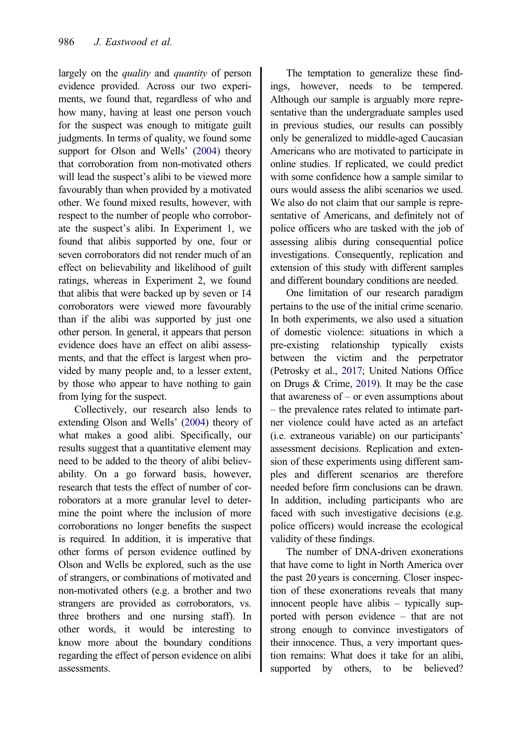<span id="page-14-0"></span>largely on the *quality* and *quantity* of person evidence provided. Across our two experiments, we found that, regardless of who and how many, having at least one person vouch for the suspect was enough to mitigate guilt judgments. In terms of quality, we found some support for Olson and Wells' [\(2004\)](#page-16-0) theory that corroboration from non-motivated others will lead the suspect's alibi to be viewed more favourably than when provided by a motivated other. We found mixed results, however, with respect to the number of people who corroborate the suspect's alibi. In Experiment 1, we found that alibis supported by one, four or seven corroborators did not render much of an effect on believability and likelihood of guilt ratings, whereas in Experiment 2, we found that alibis that were backed up by seven or 14 corroborators were viewed more favourably than if the alibi was supported by just one other person. In general, it appears that person evidence does have an effect on alibi assessments, and that the effect is largest when provided by many people and, to a lesser extent, by those who appear to have nothing to gain from lying for the suspect.

Collectively, our research also lends to extending Olson and Wells' ([2004](#page-16-0)) theory of what makes a good alibi. Specifically, our results suggest that a quantitative element may need to be added to the theory of alibi believability. On a go forward basis, however, research that tests the effect of number of corroborators at a more granular level to determine the point where the inclusion of more corroborations no longer benefits the suspect is required. In addition, it is imperative that other forms of person evidence outlined by Olson and Wells be explored, such as the use of strangers, or combinations of motivated and non-motivated others (e.g. a brother and two strangers are provided as corroborators, vs. three brothers and one nursing staff). In other words, it would be interesting to know more about the boundary conditions regarding the effect of person evidence on alibi assessments.

The temptation to generalize these findings, however, needs to be tempered. Although our sample is arguably more representative than the undergraduate samples used in previous studies, our results can possibly only be generalized to middle-aged Caucasian Americans who are motivated to participate in online studies. If replicated, we could predict with some confidence how a sample similar to ours would assess the alibi scenarios we used. We also do not claim that our sample is representative of Americans, and definitely not of police officers who are tasked with the job of assessing alibis during consequential police investigations. Consequently, replication and extension of this study with different samples and different boundary conditions are needed.

One limitation of our research paradigm pertains to the use of the initial crime scenario. In both experiments, we also used a situation of domestic violence: situations in which a pre-existing relationship typically exists between the victim and the perpetrator (Petrosky et al., [2017](#page-16-0); United Nations Office on Drugs & Crime, [2019\)](#page-16-0). It may be the case that awareness of – or even assumptions about – the prevalence rates related to intimate partner violence could have acted as an artefact (i.e. extraneous variable) on our participants' assessment decisions. Replication and extension of these experiments using different samples and different scenarios are therefore needed before firm conclusions can be drawn. In addition, including participants who are faced with such investigative decisions (e.g. police officers) would increase the ecological validity of these findings.

The number of DNA-driven exonerations that have come to light in North America over the past 20 years is concerning. Closer inspection of these exonerations reveals that many innocent people have alibis – typically supported with person evidence – that are not strong enough to convince investigators of their innocence. Thus, a very important question remains: What does it take for an alibi, supported by others, to be believed?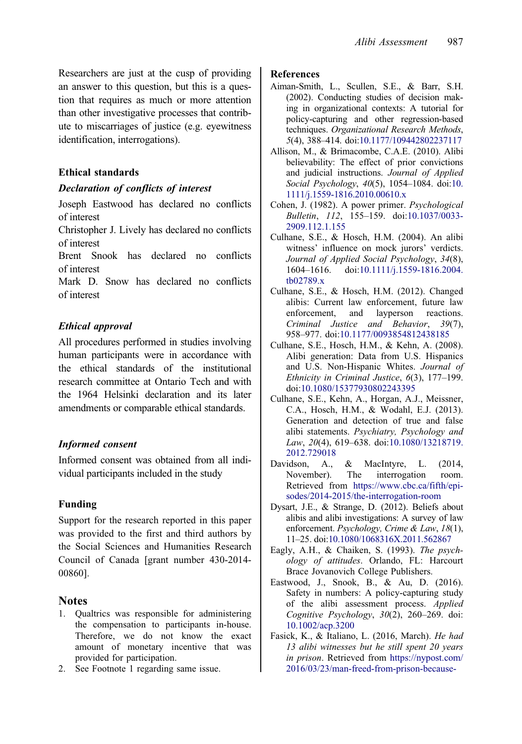<span id="page-15-0"></span>Researchers are just at the cusp of providing an answer to this question, but this is a question that requires as much or more attention than other investigative processes that contribute to miscarriages of justice (e.g. eyewitness identification, interrogations).

## Ethical standards

#### Declaration of conflicts of interest

Joseph Eastwood has declared no conflicts of interest

Christopher J. Lively has declared no conflicts of interest

Brent Snook has declared no conflicts of interest

Mark D. Snow has declared no conflicts of interest

# Ethical approval

All procedures performed in studies involving human participants were in accordance with the ethical standards of the institutional research committee at Ontario Tech and with the 1964 Helsinki declaration and its later amendments or comparable ethical standards.

## Informed consent

Informed consent was obtained from all individual participants included in the study

## Funding

Support for the research reported in this paper was provided to the first and third authors by the Social Sciences and Humanities Research Council of Canada [grant number 430-2014- 00860].

# Notes

- [1.](#page-5-0) Qualtrics was responsible for administering the compensation to participants in-house. Therefore, we do not know the exact amount of monetary incentive that was provided for participation.
- [2.](#page-10-0) See Footnote 1 regarding same issue.

## References

- Aiman-Smith, L., Scullen, S.E., & Barr, S.H. [\(2002](#page-3-0)). Conducting studies of decision making in organizational contexts: A tutorial for policy-capturing and other regression-based techniques. Organizational Research Methods, 5(4), 388–414. doi:[10.1177/109442802237117](https://doi.org/10.1177/109442802237117)
- Allison, M., & Brimacombe, C.A.E. ([2010\)](#page-1-0). Alibi believability: The effect of prior convictions and judicial instructions. Journal of Applied Social Psychology, 40(5), 1054–1084. doi:[10.](https://doi.org/10.1111/j.1559-1816.2010.00610.x) [1111/j.1559-1816.2010.00610.x](https://doi.org/10.1111/j.1559-1816.2010.00610.x)
- Cohen, J. [\(1982](#page-5-0)). A power primer. Psychological Bulletin, 112, 155–159. doi[:10.1037/0033-](https://doi.org/10.1037/0033-2909.112.1.155) [2909.112.1.155](https://doi.org/10.1037/0033-2909.112.1.155)
- Culhane, S.E., & Hosch, H.M. ([2004\)](#page-3-0). An alibi witness' influence on mock jurors' verdicts. Journal of Applied Social Psychology, 34(8), 1604–1616. doi:[10.1111/j.1559-1816.2004.](https://doi.org/10.1111/j.1559-1816.2004.tb02789.x) [tb02789.x](https://doi.org/10.1111/j.1559-1816.2004.tb02789.x)
- Culhane, S.E., & Hosch, H.M. ([2012\)](#page-1-0). Changed alibis: Current law enforcement, future law enforcement, and layperson reactions. Criminal Justice and Behavior, 39(7), 958–977. doi[:10.1177/0093854812438185](https://doi.org/10.1177/0093854812438185)
- Culhane, S.E., Hosch, H.M., & Kehn, A. ([2008\)](#page-2-0). Alibi generation: Data from U.S. Hispanics and U.S. Non-Hispanic Whites. Journal of Ethnicity in Criminal Justice, 6(3), 177–199. doi:[10.1080/15377930802243395](https://doi.org/10.1080/15377930802243395)
- Culhane, S.E., Kehn, A., Horgan, A.J., Meissner, C.A., Hosch, H.M., & Wodahl, E.J. ([2013\)](#page-2-0). Generation and detection of true and false alibi statements. Psychiatry, Psychology and Law, 20(4), 619–638. doi:[10.1080/13218719.](https://doi.org/10.1080/13218719.2012.729018) [2012.729018](https://doi.org/10.1080/13218719.2012.729018)
- Davidson, A., & MacIntyre, L. ([2014,](#page-9-0) November). The interrogation room. Retrieved from [https://www.cbc.ca/fifth/epi](https://www.cbc.ca/fifth/episodes/2014-2015/the-interrogation-room)[sodes/2014-2015/the-interrogation-room](https://www.cbc.ca/fifth/episodes/2014-2015/the-interrogation-room)
- Dysart, J.E., & Strange, D. [\(2012\)](#page-2-0). Beliefs about alibis and alibi investigations: A survey of law enforcement. Psychology, Crime & Law, 18(1), 11–25. doi:[10.1080/1068316X.2011.562867](https://doi.org/10.1080/1068316X.2011.562867)
- Eagly, A.H., & Chaiken, S. [\(1993](#page-8-0)). The psychology of attitudes. Orlando, FL: Harcourt Brace Jovanovich College Publishers.
- Eastwood, J., Snook, B., & Au, D. ([2016\)](#page-3-0). Safety in numbers: A policy-capturing study of the alibi assessment process. Applied Cognitive Psychology, 30(2), 260–269. doi: [10.1002/acp.3200](https://doi.org/10.1002/acp.3200)
- Fasick, K., & Italiano, L. ([2016,](#page-9-0) March). He had 13 alibi witnesses but he still spent 20 years in prison. Retrieved from [https://nypost.com/](https://nypost.com/2016/03/23/man-freed-from-prison-because-prosecutors-finally-decided-to-talk-to-his-13-alibi-witnesses/) [2016/03/23/man-freed-from-prison-because-](https://nypost.com/2016/03/23/man-freed-from-prison-because-prosecutors-finally-decided-to-talk-to-his-13-alibi-witnesses/)